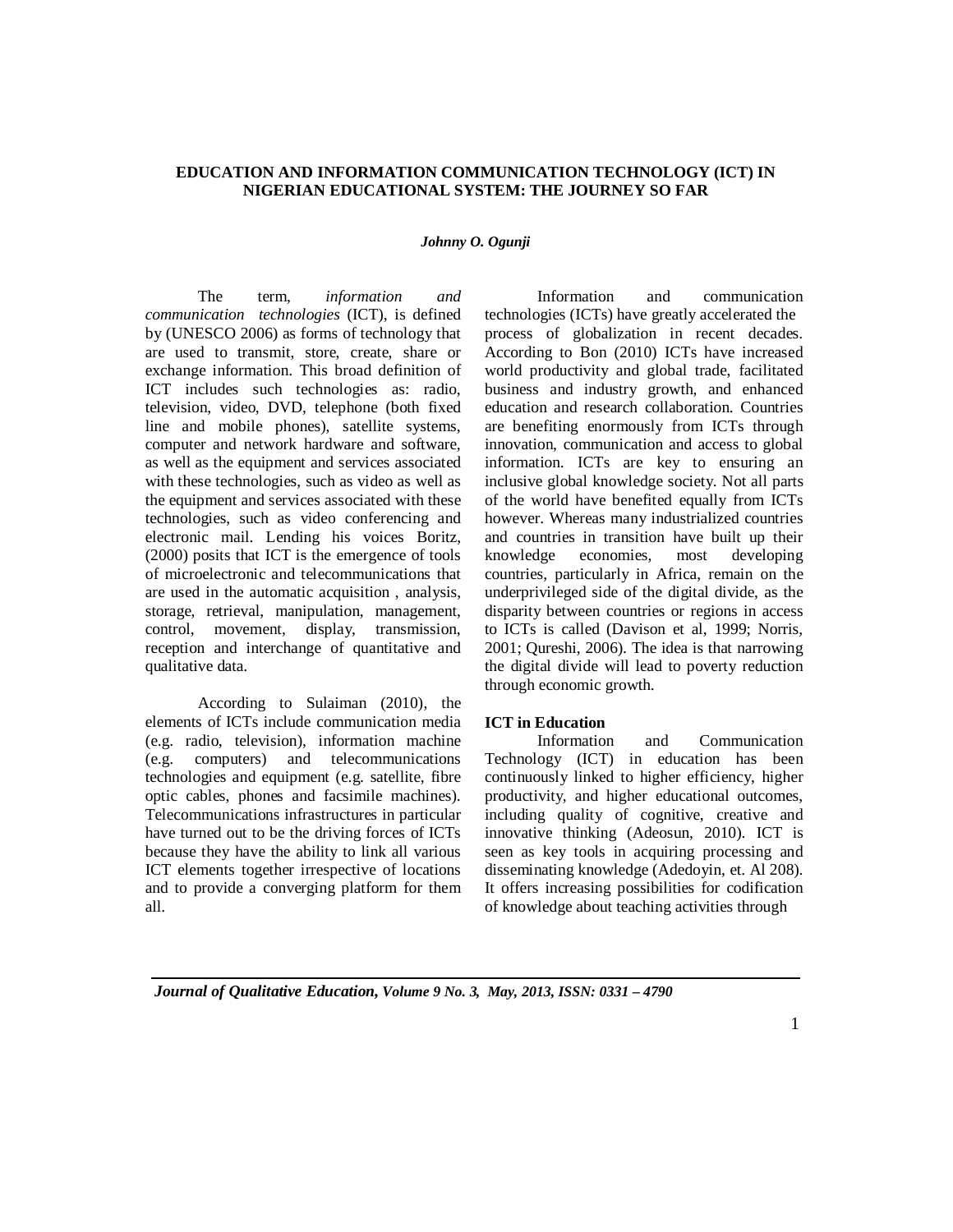# **EDUCATION AND INFORMATION COMMUNICATION TECHNOLOGY (ICT) IN NIGERIAN EDUCATIONAL SYSTEM: THE JOURNEY SO FAR**

#### *Johnny O. Ogunji*

The term, *information and communication technologies* (ICT), is defined by (UNESCO 2006) as forms of technology that are used to transmit, store, create, share or exchange information. This broad definition of ICT includes such technologies as: radio, television, video, DVD, telephone (both fixed line and mobile phones), satellite systems, computer and network hardware and software, as well as the equipment and services associated with these technologies, such as video as well as the equipment and services associated with these technologies, such as video conferencing and electronic mail. Lending his voices Boritz, (2000) posits that ICT is the emergence of tools of microelectronic and telecommunications that are used in the automatic acquisition , analysis, storage, retrieval, manipulation, management, control, movement, display, transmission, reception and interchange of quantitative and qualitative data.

According to Sulaiman (2010), the elements of ICTs include communication media (e.g. radio, television), information machine (e.g. computers) and telecommunications technologies and equipment (e.g. satellite, fibre optic cables, phones and facsimile machines). Telecommunications infrastructures in particular have turned out to be the driving forces of ICTs because they have the ability to link all various ICT elements together irrespective of locations and to provide a converging platform for them all.

Information and communication technologies (ICTs) have greatly accelerated the process of globalization in recent decades. According to Bon (2010) ICTs have increased world productivity and global trade, facilitated business and industry growth, and enhanced education and research collaboration. Countries are benefiting enormously from ICTs through innovation, communication and access to global information. ICTs are key to ensuring an inclusive global knowledge society. Not all parts of the world have benefited equally from ICTs however. Whereas many industrialized countries and countries in transition have built up their knowledge economies, most developing countries, particularly in Africa, remain on the underprivileged side of the digital divide, as the disparity between countries or regions in access to ICTs is called (Davison et al, 1999; Norris, 2001; Qureshi, 2006). The idea is that narrowing the digital divide will lead to poverty reduction through economic growth.

### **ICT in Education**

Information and Communication Technology (ICT) in education has been continuously linked to higher efficiency, higher productivity, and higher educational outcomes, including quality of cognitive, creative and innovative thinking (Adeosun, 2010). ICT is seen as key tools in acquiring processing and disseminating knowledge (Adedoyin, et. Al 208). It offers increasing possibilities for codification of knowledge about teaching activities through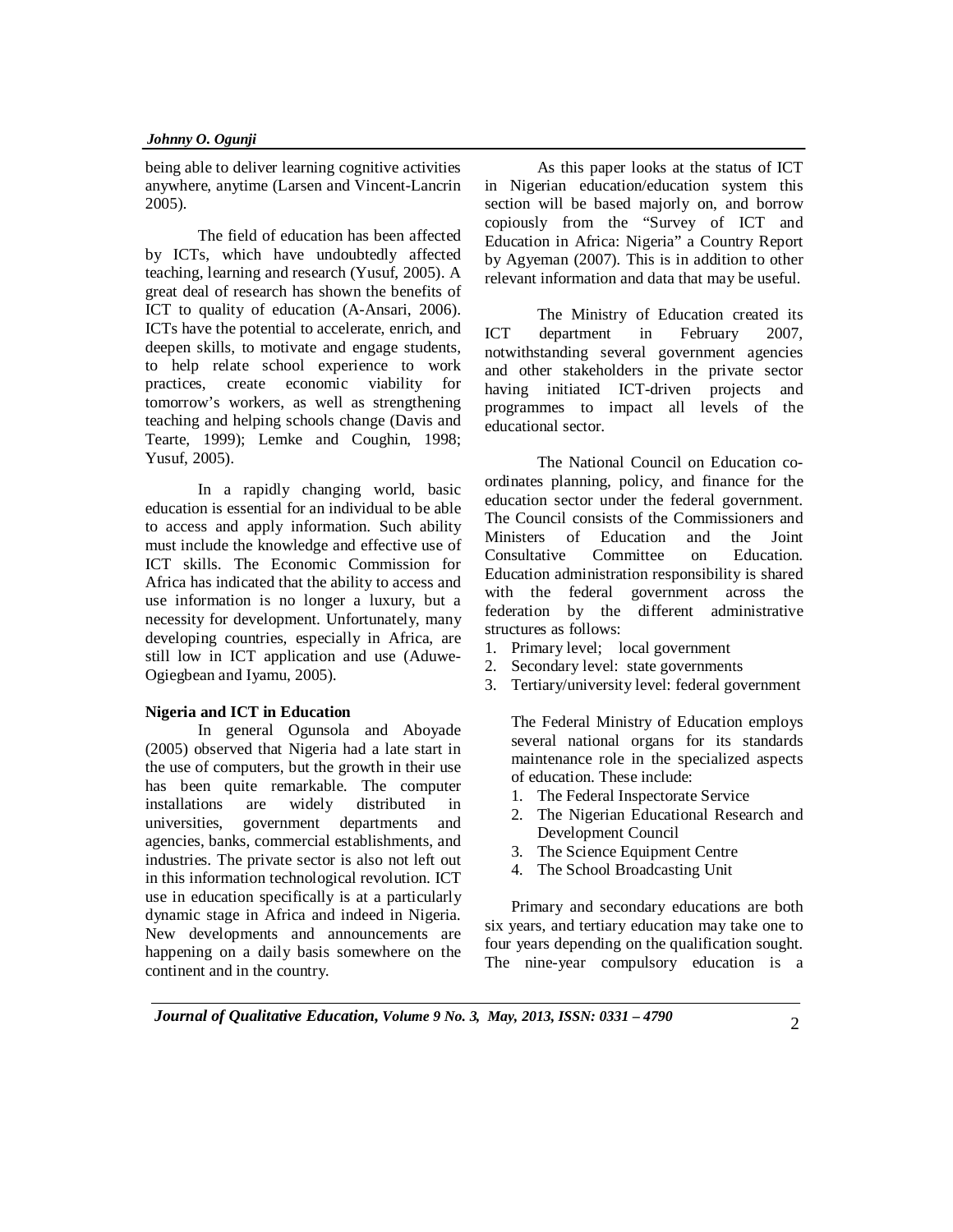being able to deliver learning cognitive activities anywhere, anytime (Larsen and Vincent-Lancrin 2005).

The field of education has been affected by ICTs, which have undoubtedly affected teaching, learning and research (Yusuf, 2005). A great deal of research has shown the benefits of ICT to quality of education (A-Ansari, 2006). ICTs have the potential to accelerate, enrich, and deepen skills, to motivate and engage students, to help relate school experience to work practices, create economic viability for tomorrow's workers, as well as strengthening teaching and helping schools change (Davis and Tearte, 1999); Lemke and Coughin, 1998; Yusuf, 2005).

In a rapidly changing world, basic education is essential for an individual to be able to access and apply information. Such ability must include the knowledge and effective use of ICT skills. The Economic Commission for Africa has indicated that the ability to access and use information is no longer a luxury, but a necessity for development. Unfortunately, many developing countries, especially in Africa, are still low in ICT application and use (Aduwe-Ogiegbean and Iyamu, 2005).

## **Nigeria and ICT in Education**

In general Ogunsola and Aboyade (2005) observed that Nigeria had a late start in the use of computers, but the growth in their use has been quite remarkable. The computer installations are widely distributed in universities, government departments and agencies, banks, commercial establishments, and industries. The private sector is also not left out in this information technological revolution. ICT use in education specifically is at a particularly dynamic stage in Africa and indeed in Nigeria. New developments and announcements are happening on a daily basis somewhere on the continent and in the country.

As this paper looks at the status of ICT in Nigerian education/education system this section will be based majorly on, and borrow copiously from the "Survey of ICT and Education in Africa: Nigeria" a Country Report by Agyeman (2007). This is in addition to other relevant information and data that may be useful.

The Ministry of Education created its ICT department in February 2007, notwithstanding several government agencies and other stakeholders in the private sector having initiated ICT-driven projects and programmes to impact all levels of the educational sector.

The National Council on Education coordinates planning, policy, and finance for the education sector under the federal government. The Council consists of the Commissioners and Ministers of Education and the Joint Consultative Committee on Education. Education administration responsibility is shared with the federal government across the federation by the different administrative structures as follows:

- 1. Primary level; local government
- 2. Secondary level: state governments
- 3. Tertiary/university level: federal government

The Federal Ministry of Education employs several national organs for its standards maintenance role in the specialized aspects of education. These include:

- 1. The Federal Inspectorate Service
- 2. The Nigerian Educational Research and Development Council
- 3. The Science Equipment Centre
- 4. The School Broadcasting Unit

Primary and secondary educations are both six years, and tertiary education may take one to four years depending on the qualification sought. The nine-year compulsory education is a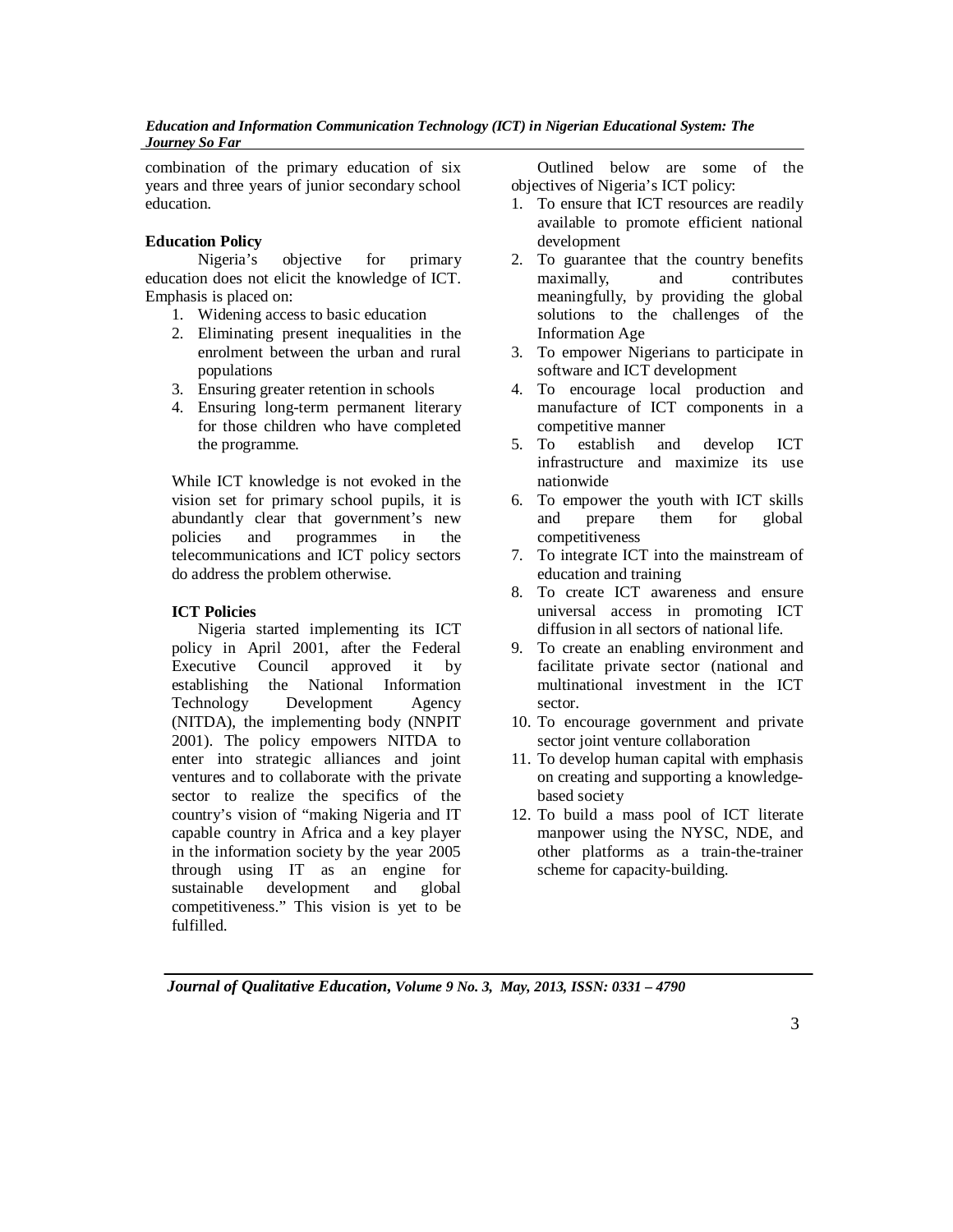combination of the primary education of six years and three years of junior secondary school education.

# **Education Policy**

Nigeria's objective for primary education does not elicit the knowledge of ICT. Emphasis is placed on:

- 1. Widening access to basic education
- 2. Eliminating present inequalities in the enrolment between the urban and rural populations
- 3. Ensuring greater retention in schools
- 4. Ensuring long-term permanent literary for those children who have completed the programme.

While ICT knowledge is not evoked in the vision set for primary school pupils, it is abundantly clear that government's new policies and programmes in the telecommunications and ICT policy sectors do address the problem otherwise.

# **ICT Policies**

Nigeria started implementing its ICT policy in April 2001, after the Federal Executive Council approved it by establishing the National Information Technology Development Agency (NITDA), the implementing body (NNPIT 2001). The policy empowers NITDA to enter into strategic alliances and joint ventures and to collaborate with the private sector to realize the specifics of the country's vision of "making Nigeria and IT capable country in Africa and a key player in the information society by the year 2005 through using IT as an engine for sustainable development and global competitiveness." This vision is yet to be fulfilled.

Outlined below are some of the objectives of Nigeria's ICT policy:

- 1. To ensure that ICT resources are readily available to promote efficient national development
- 2. To guarantee that the country benefits maximally, and contributes meaningfully, by providing the global solutions to the challenges of the Information Age
- 3. To empower Nigerians to participate in software and ICT development
- 4. To encourage local production and manufacture of ICT components in a competitive manner
- 5. To establish and develop ICT infrastructure and maximize its use nationwide
- 6. To empower the youth with ICT skills and prepare them for global competitiveness
- 7. To integrate ICT into the mainstream of education and training
- 8. To create ICT awareness and ensure universal access in promoting ICT diffusion in all sectors of national life.
- 9. To create an enabling environment and facilitate private sector (national and multinational investment in the ICT sector.
- 10. To encourage government and private sector joint venture collaboration
- 11. To develop human capital with emphasis on creating and supporting a knowledgebased society
- 12. To build a mass pool of ICT literate manpower using the NYSC, NDE, and other platforms as a train-the-trainer scheme for capacity-building.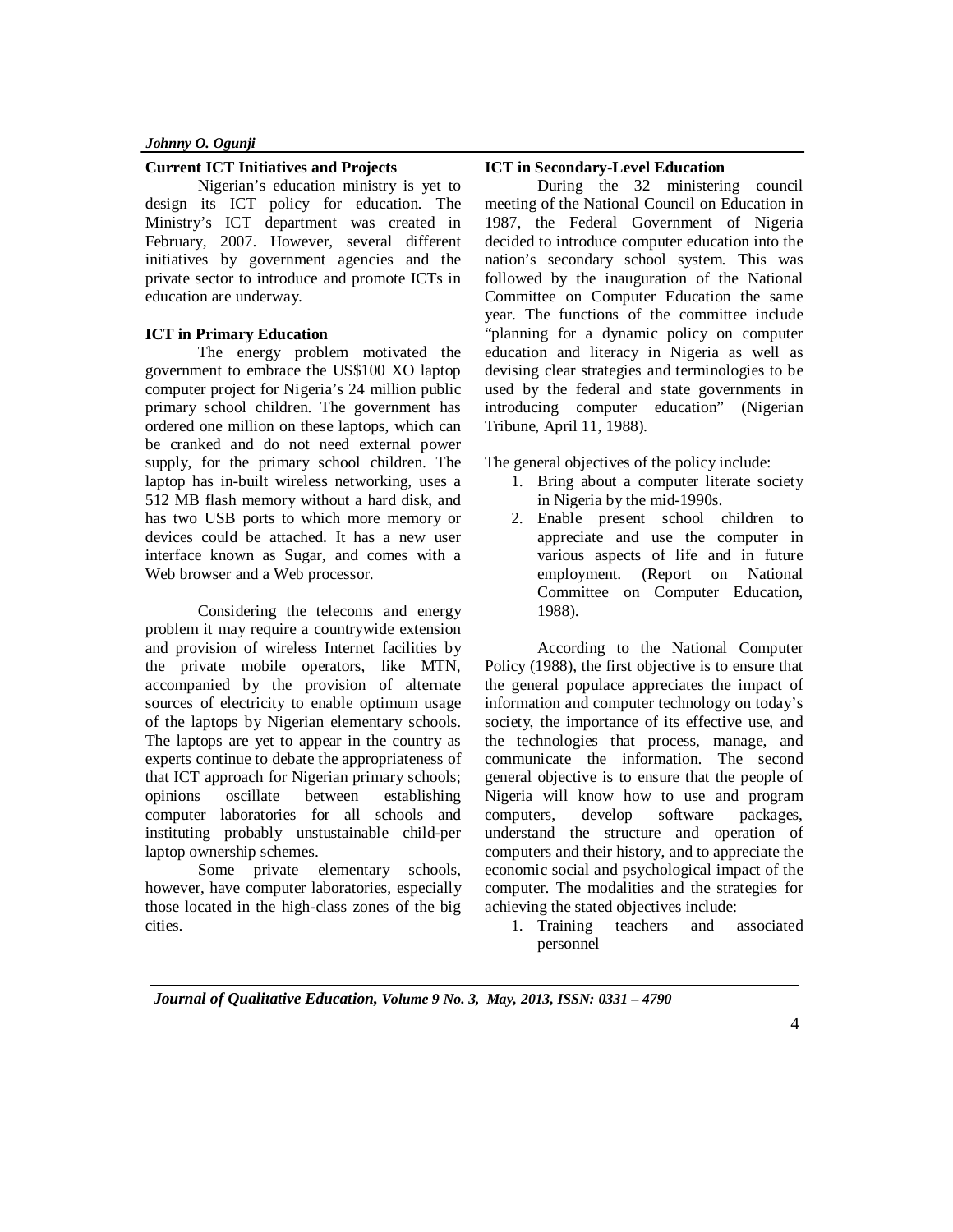### **Current ICT Initiatives and Projects**

Nigerian's education ministry is yet to design its ICT policy for education. The Ministry's ICT department was created in February, 2007. However, several different initiatives by government agencies and the private sector to introduce and promote ICTs in education are underway.

## **ICT in Primary Education**

The energy problem motivated the government to embrace the US\$100 XO laptop computer project for Nigeria's 24 million public primary school children. The government has ordered one million on these laptops, which can be cranked and do not need external power supply, for the primary school children. The laptop has in-built wireless networking, uses a 512 MB flash memory without a hard disk, and has two USB ports to which more memory or devices could be attached. It has a new user interface known as Sugar, and comes with a Web browser and a Web processor.

Considering the telecoms and energy problem it may require a countrywide extension and provision of wireless Internet facilities by the private mobile operators, like MTN, accompanied by the provision of alternate sources of electricity to enable optimum usage of the laptops by Nigerian elementary schools. The laptops are yet to appear in the country as experts continue to debate the appropriateness of that ICT approach for Nigerian primary schools; opinions oscillate between establishing computer laboratories for all schools and instituting probably unstustainable child-per laptop ownership schemes.

Some private elementary schools, however, have computer laboratories, especially those located in the high-class zones of the big cities.

#### **ICT in Secondary-Level Education**

During the 32 ministering council meeting of the National Council on Education in 1987, the Federal Government of Nigeria decided to introduce computer education into the nation's secondary school system. This was followed by the inauguration of the National Committee on Computer Education the same year. The functions of the committee include "planning for a dynamic policy on computer education and literacy in Nigeria as well as devising clear strategies and terminologies to be used by the federal and state governments in introducing computer education" (Nigerian Tribune, April 11, 1988).

The general objectives of the policy include:

- 1. Bring about a computer literate society in Nigeria by the mid-1990s.
- 2. Enable present school children to appreciate and use the computer in various aspects of life and in future employment. (Report on National Committee on Computer Education, 1988).

According to the National Computer Policy (1988), the first objective is to ensure that the general populace appreciates the impact of information and computer technology on today's society, the importance of its effective use, and the technologies that process, manage, and communicate the information. The second general objective is to ensure that the people of Nigeria will know how to use and program computers, develop software packages, understand the structure and operation of computers and their history, and to appreciate the economic social and psychological impact of the computer. The modalities and the strategies for achieving the stated objectives include:

1. Training teachers and associated personnel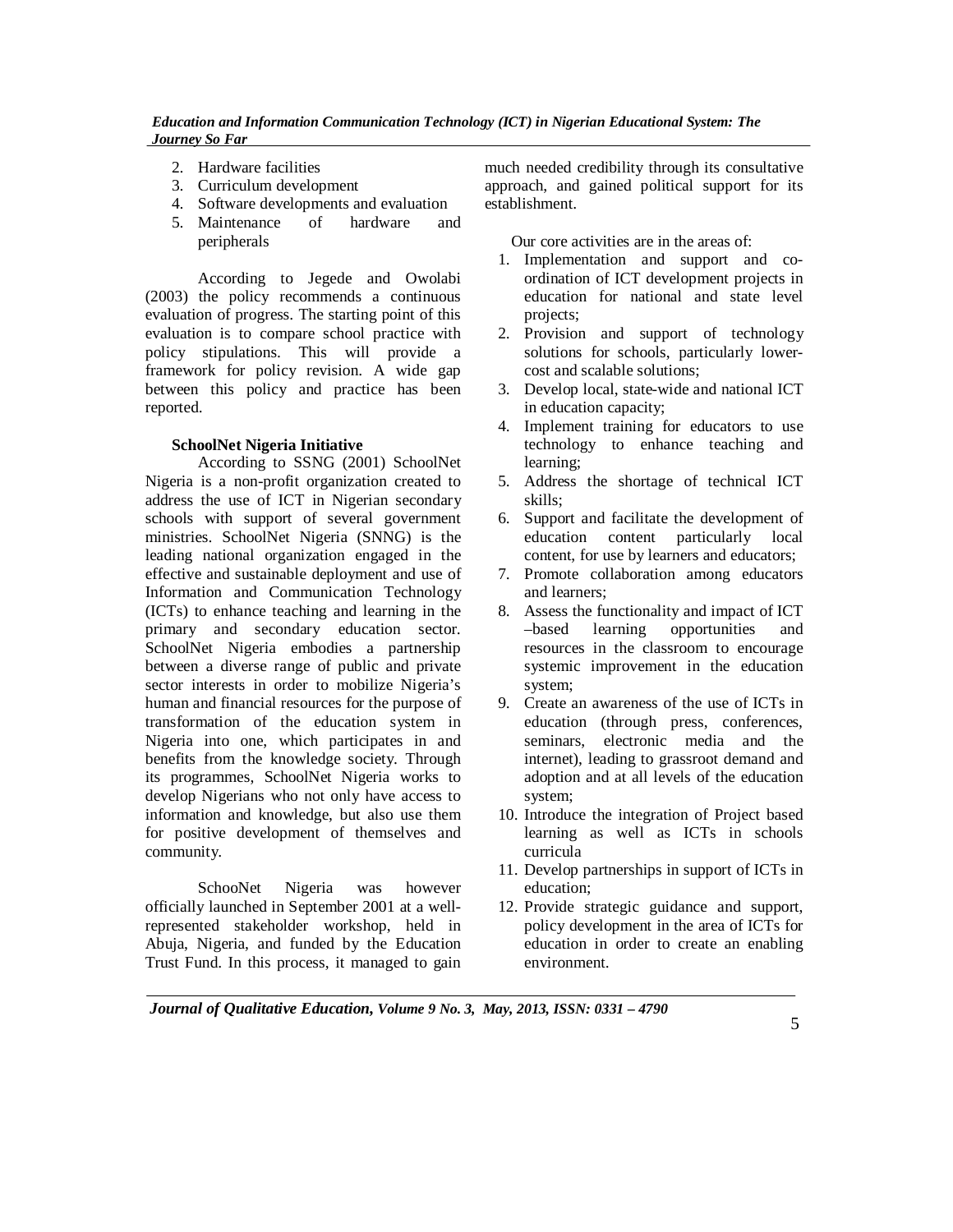- 2. Hardware facilities
- 3. Curriculum development
- 4. Software developments and evaluation
- 5. Maintenance of hardware and peripherals

According to Jegede and Owolabi (2003) the policy recommends a continuous evaluation of progress. The starting point of this evaluation is to compare school practice with policy stipulations. This will provide a framework for policy revision. A wide gap between this policy and practice has been reported.

# **SchoolNet Nigeria Initiative**

According to SSNG (2001) SchoolNet Nigeria is a non-profit organization created to address the use of ICT in Nigerian secondary schools with support of several government ministries. SchoolNet Nigeria (SNNG) is the leading national organization engaged in the effective and sustainable deployment and use of Information and Communication Technology (ICTs) to enhance teaching and learning in the primary and secondary education sector. SchoolNet Nigeria embodies a partnership between a diverse range of public and private sector interests in order to mobilize Nigeria's human and financial resources for the purpose of transformation of the education system in Nigeria into one, which participates in and benefits from the knowledge society. Through its programmes, SchoolNet Nigeria works to develop Nigerians who not only have access to information and knowledge, but also use them for positive development of themselves and community.

SchooNet Nigeria was however officially launched in September 2001 at a wellrepresented stakeholder workshop, held in Abuja, Nigeria, and funded by the Education Trust Fund. In this process, it managed to gain much needed credibility through its consultative approach, and gained political support for its establishment.

Our core activities are in the areas of:

- 1. Implementation and support and coordination of ICT development projects in education for national and state level projects;
- 2. Provision and support of technology solutions for schools, particularly lowercost and scalable solutions;
- 3. Develop local, state-wide and national ICT in education capacity;
- 4. Implement training for educators to use technology to enhance teaching and learning;
- 5. Address the shortage of technical ICT skills;
- 6. Support and facilitate the development of education content particularly local content, for use by learners and educators;
- 7. Promote collaboration among educators and learners;
- 8. Assess the functionality and impact of ICT –based learning opportunities and resources in the classroom to encourage systemic improvement in the education system;
- 9. Create an awareness of the use of ICTs in education (through press, conferences, seminars, electronic media and the internet), leading to grassroot demand and adoption and at all levels of the education system;
- 10. Introduce the integration of Project based learning as well as ICTs in schools curricula
- 11. Develop partnerships in support of ICTs in education;
- 12. Provide strategic guidance and support, policy development in the area of ICTs for education in order to create an enabling environment.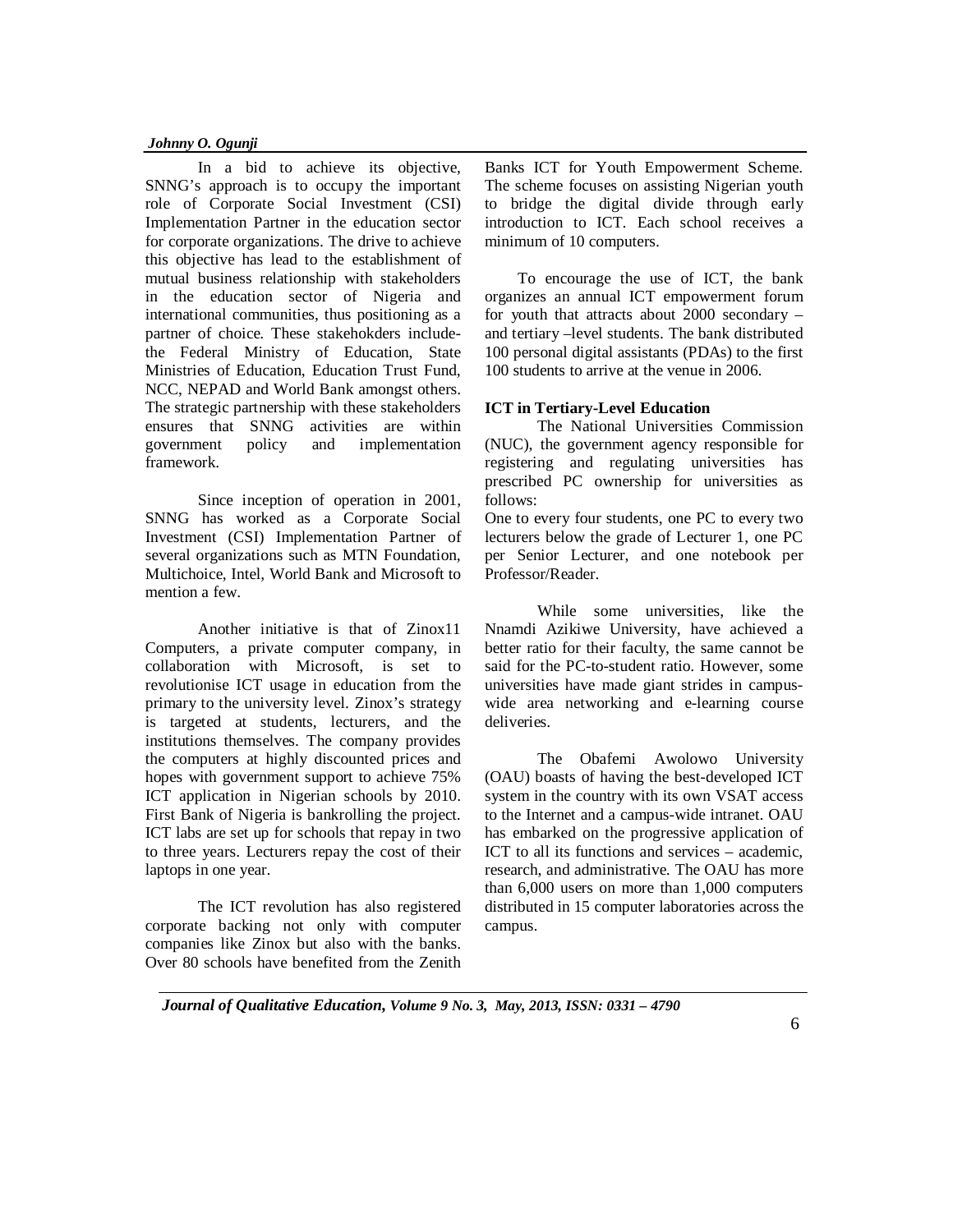In a bid to achieve its objective, SNNG's approach is to occupy the important role of Corporate Social Investment (CSI) Implementation Partner in the education sector for corporate organizations. The drive to achieve this objective has lead to the establishment of mutual business relationship with stakeholders in the education sector of Nigeria and international communities, thus positioning as a partner of choice. These stakehokders includethe Federal Ministry of Education, State Ministries of Education, Education Trust Fund, NCC, NEPAD and World Bank amongst others. The strategic partnership with these stakeholders ensures that SNNG activities are within government policy and implementation framework.

Since inception of operation in 2001, SNNG has worked as a Corporate Social Investment (CSI) Implementation Partner of several organizations such as MTN Foundation, Multichoice, Intel, World Bank and Microsoft to mention a few.

Another initiative is that of Zinox11 Computers, a private computer company, in collaboration with Microsoft, is set to revolutionise ICT usage in education from the primary to the university level. Zinox's strategy is targeted at students, lecturers, and the institutions themselves. The company provides the computers at highly discounted prices and hopes with government support to achieve 75% ICT application in Nigerian schools by 2010. First Bank of Nigeria is bankrolling the project. ICT labs are set up for schools that repay in two to three years. Lecturers repay the cost of their laptops in one year.

The ICT revolution has also registered corporate backing not only with computer companies like Zinox but also with the banks. Over 80 schools have benefited from the Zenith Banks ICT for Youth Empowerment Scheme. The scheme focuses on assisting Nigerian youth to bridge the digital divide through early introduction to ICT. Each school receives a minimum of 10 computers.

To encourage the use of ICT, the bank organizes an annual ICT empowerment forum for youth that attracts about 2000 secondary – and tertiary –level students. The bank distributed 100 personal digital assistants (PDAs) to the first 100 students to arrive at the venue in 2006.

### **ICT in Tertiary-Level Education**

The National Universities Commission (NUC), the government agency responsible for registering and regulating universities has prescribed PC ownership for universities as follows:

One to every four students, one PC to every two lecturers below the grade of Lecturer 1, one PC per Senior Lecturer, and one notebook per Professor/Reader.

While some universities, like the Nnamdi Azikiwe University, have achieved a better ratio for their faculty, the same cannot be said for the PC-to-student ratio. However, some universities have made giant strides in campuswide area networking and e-learning course deliveries.

The Obafemi Awolowo University (OAU) boasts of having the best-developed ICT system in the country with its own VSAT access to the Internet and a campus-wide intranet. OAU has embarked on the progressive application of ICT to all its functions and services – academic research, and administrative. The OAU has more than 6,000 users on more than 1,000 computers distributed in 15 computer laboratories across the campus.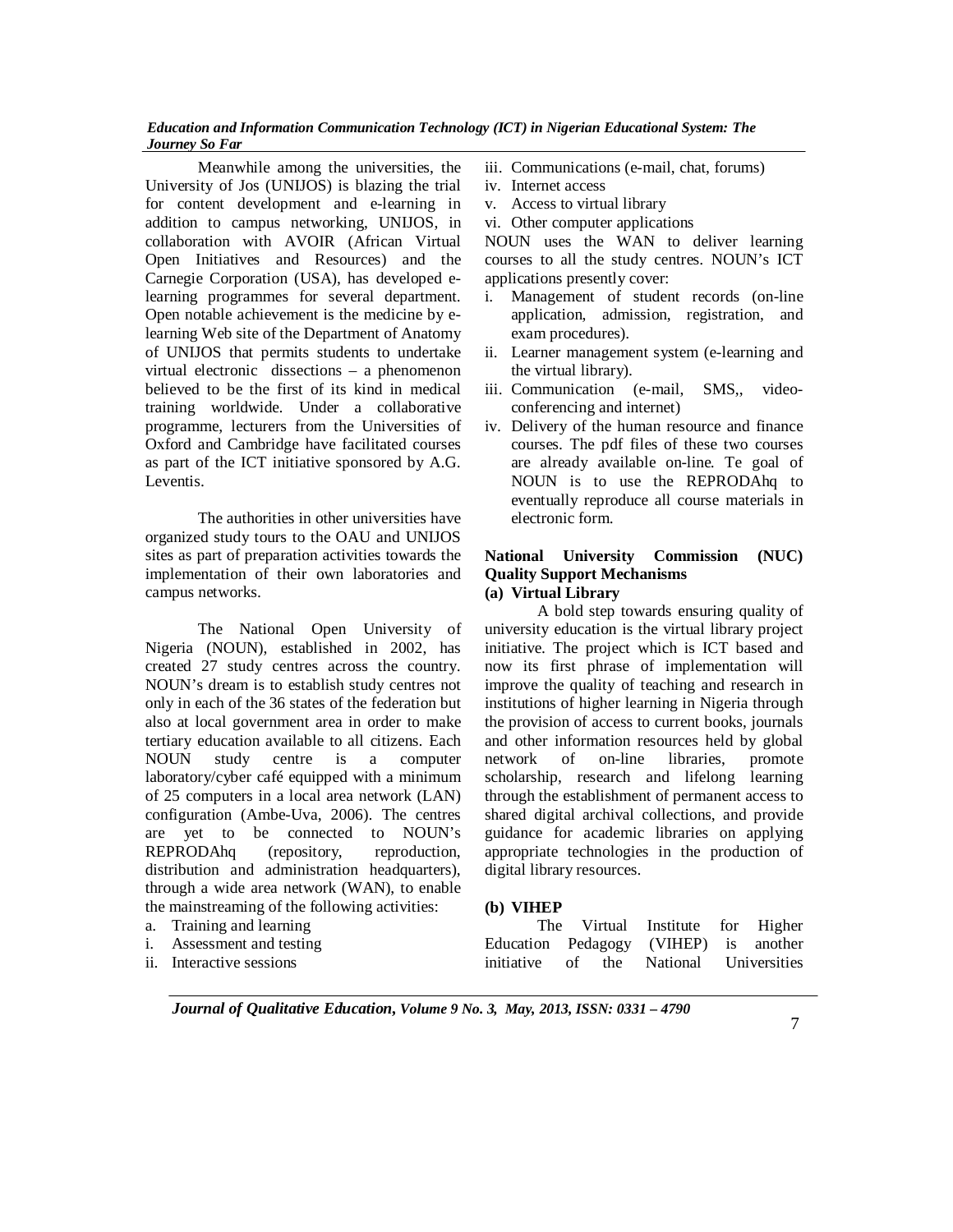Meanwhile among the universities, the University of Jos (UNIJOS) is blazing the trial for content development and e-learning in addition to campus networking, UNIJOS, in collaboration with AVOIR (African Virtual Open Initiatives and Resources) and the Carnegie Corporation (USA), has developed elearning programmes for several department. Open notable achievement is the medicine by elearning Web site of the Department of Anatomy of UNIJOS that permits students to undertake virtual electronic dissections – a phenomenon believed to be the first of its kind in medical training worldwide. Under a collaborative programme, lecturers from the Universities of Oxford and Cambridge have facilitated courses as part of the ICT initiative sponsored by A.G. Leventis.

The authorities in other universities have organized study tours to the OAU and UNIJOS sites as part of preparation activities towards the implementation of their own laboratories and campus networks.

The National Open University of Nigeria (NOUN), established in 2002, has created 27 study centres across the country. NOUN's dream is to establish study centres not only in each of the 36 states of the federation but also at local government area in order to make tertiary education available to all citizens. Each NOUN study centre is a computer laboratory/cyber café equipped with a minimum of 25 computers in a local area network (LAN) configuration (Ambe-Uva, 2006). The centres are yet to be connected to NOUN's REPRODAhq (repository, reproduction, distribution and administration headquarters), through a wide area network (WAN), to enable the mainstreaming of the following activities:

- a. Training and learning
- i. Assessment and testing
- ii. Interactive sessions
- iii. Communications (e-mail, chat, forums)
- iv. Internet access
- v. Access to virtual library
- vi. Other computer applications

NOUN uses the WAN to deliver learning courses to all the study centres. NOUN's ICT applications presently cover:

- i. Management of student records (on-line application, admission, registration, and exam procedures).
- ii. Learner management system (e-learning and the virtual library).
- iii. Communication (e-mail, SMS,, videoconferencing and internet)
- iv. Delivery of the human resource and finance courses. The pdf files of these two courses are already available on-line. Te goal of NOUN is to use the REPRODAhq to eventually reproduce all course materials in electronic form.

# **National University Commission (NUC) Quality Support Mechanisms (a) Virtual Library**

A bold step towards ensuring quality of university education is the virtual library project initiative. The project which is ICT based and now its first phrase of implementation will improve the quality of teaching and research in institutions of higher learning in Nigeria through the provision of access to current books, journals and other information resources held by global network of on-line libraries, promote scholarship, research and lifelong learning through the establishment of permanent access to shared digital archival collections, and provide guidance for academic libraries on applying appropriate technologies in the production of digital library resources.

### **(b) VIHEP**

The Virtual Institute for Higher Education Pedagogy (VIHEP) is another initiative of the National Universities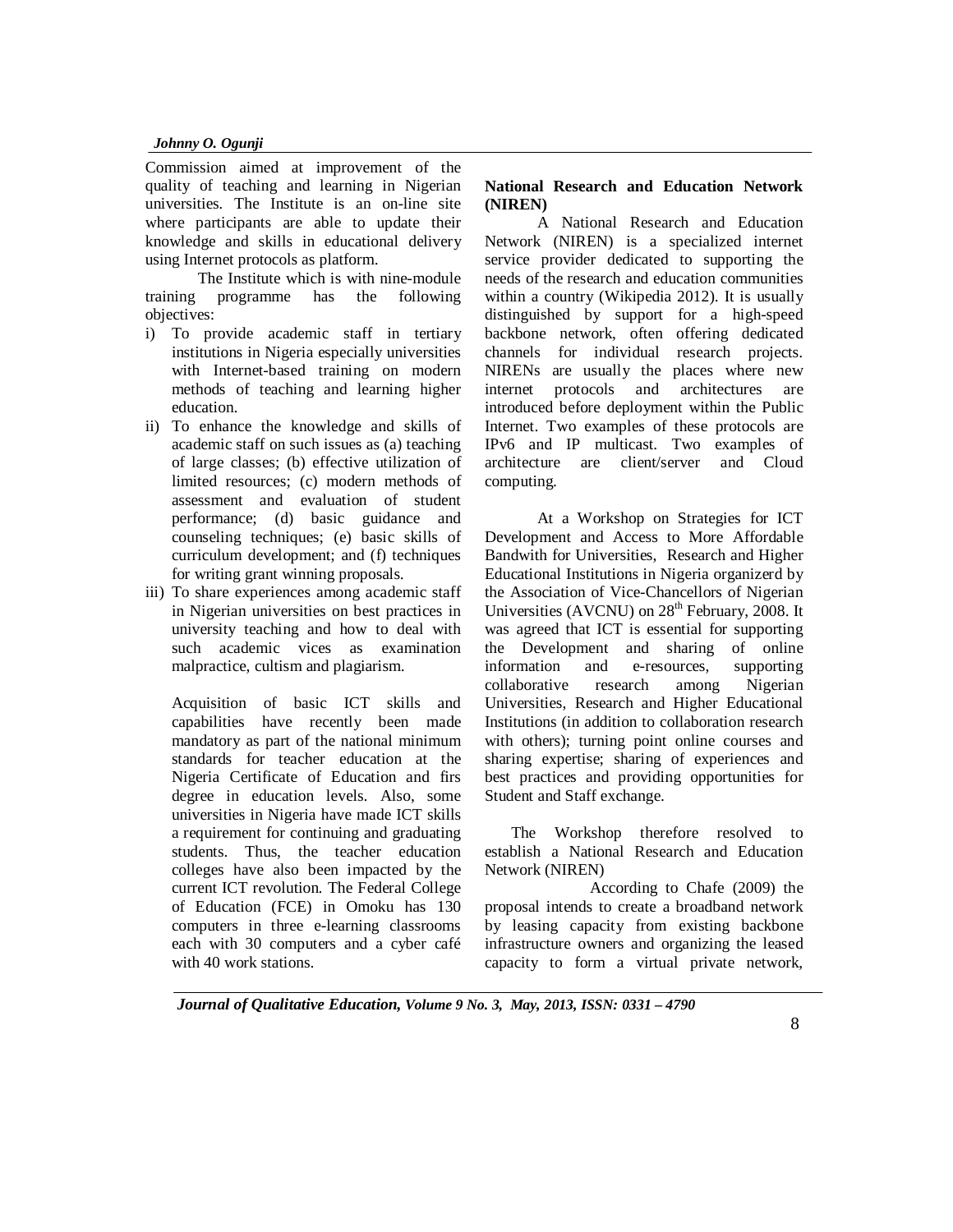Commission aimed at improvement of the quality of teaching and learning in Nigerian universities. The Institute is an on-line site where participants are able to update their knowledge and skills in educational delivery using Internet protocols as platform.

The Institute which is with nine-module training programme has the following objectives:

- i) To provide academic staff in tertiary institutions in Nigeria especially universities with Internet-based training on modern methods of teaching and learning higher education.
- ii) To enhance the knowledge and skills of academic staff on such issues as (a) teaching of large classes; (b) effective utilization of limited resources; (c) modern methods of assessment and evaluation of student performance; (d) basic guidance and counseling techniques; (e) basic skills of curriculum development; and (f) techniques for writing grant winning proposals.
- iii) To share experiences among academic staff in Nigerian universities on best practices in university teaching and how to deal with such academic vices as examination malpractice, cultism and plagiarism.

Acquisition of basic ICT skills and capabilities have recently been made mandatory as part of the national minimum standards for teacher education at the Nigeria Certificate of Education and firs degree in education levels. Also, some universities in Nigeria have made ICT skills a requirement for continuing and graduating students. Thus, the teacher education colleges have also been impacted by the current ICT revolution. The Federal College of Education (FCE) in Omoku has 130 computers in three e-learning classrooms each with 30 computers and a cyber café with 40 work stations.

# **National Research and Education Network (NIREN)**

A National Research and Education Network (NIREN) is a specialized internet service provider dedicated to supporting the needs of the research and education communities within a country (Wikipedia 2012). It is usually distinguished by support for a high-speed backbone network, often offering dedicated channels for individual research projects. NIRENs are usually the places where new internet protocols and architectures are introduced before deployment within the Public Internet. Two examples of these protocols are IPv6 and IP multicast. Two examples of architecture are client/server and Cloud computing.

At a Workshop on Strategies for ICT Development and Access to More Affordable Bandwith for Universities, Research and Higher Educational Institutions in Nigeria organizerd by the Association of Vice-Chancellors of Nigerian Universities (AVCNU) on  $28<sup>th</sup>$  February, 2008. It was agreed that ICT is essential for supporting the Development and sharing of online information and e-resources, supporting collaborative research among Nigerian Universities, Research and Higher Educational Institutions (in addition to collaboration research with others); turning point online courses and sharing expertise; sharing of experiences and best practices and providing opportunities for Student and Staff exchange.

The Workshop therefore resolved to establish a National Research and Education Network (NIREN)

According to Chafe (2009) the proposal intends to create a broadband network by leasing capacity from existing backbone infrastructure owners and organizing the leased capacity to form a virtual private network,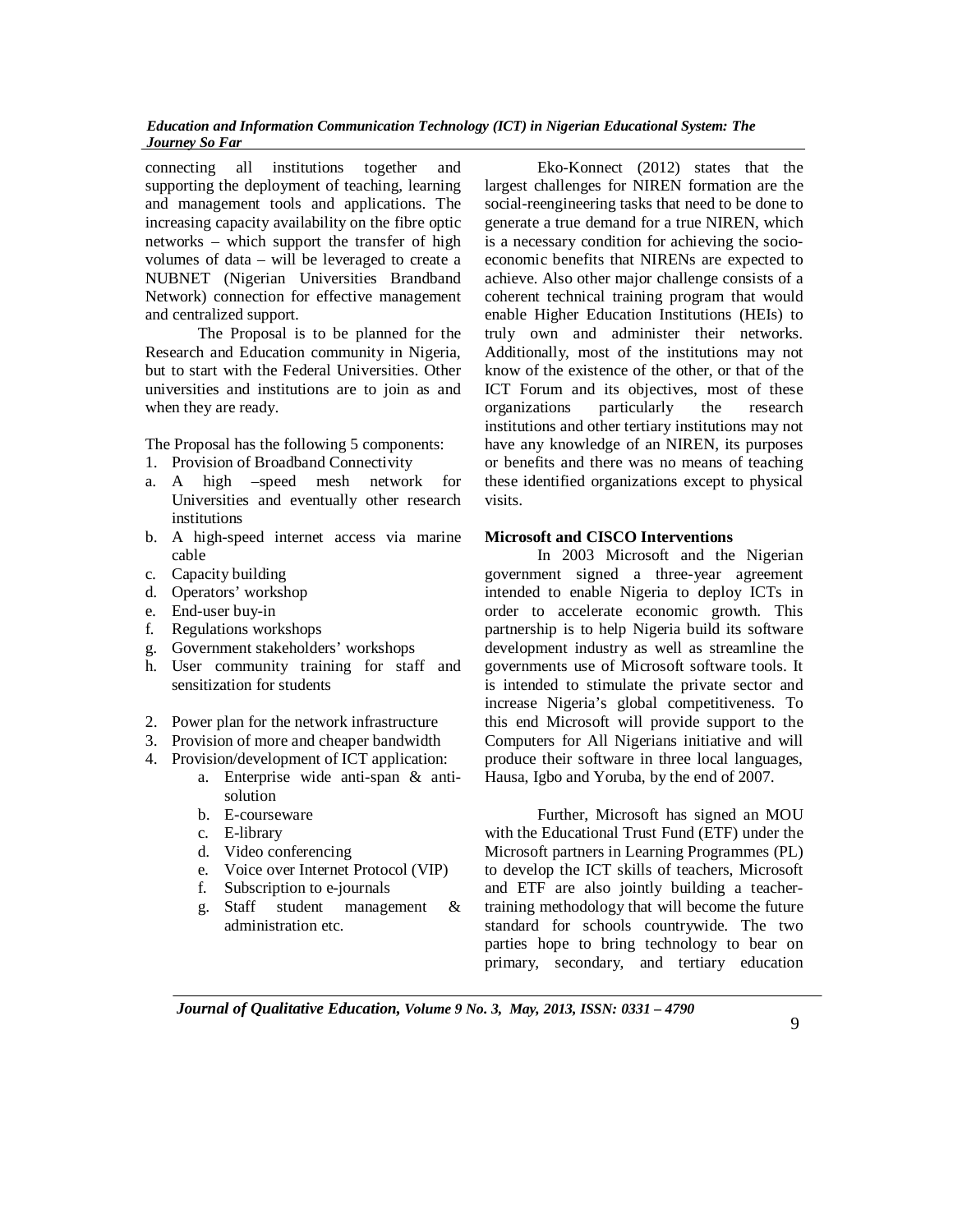connecting all institutions together and supporting the deployment of teaching, learning and management tools and applications. The increasing capacity availability on the fibre optic networks – which support the transfer of high volumes of data – will be leveraged to create a NUBNET (Nigerian Universities Brandband Network) connection for effective management and centralized support.

The Proposal is to be planned for the Research and Education community in Nigeria, but to start with the Federal Universities. Other universities and institutions are to join as and when they are ready.

The Proposal has the following 5 components:

- 1. Provision of Broadband Connectivity
- a. A high –speed mesh network for Universities and eventually other research institutions
- b. A high-speed internet access via marine cable
- c. Capacity building
- d. Operators' workshop
- e. End-user buy-in
- f. Regulations workshops
- g. Government stakeholders' workshops
- h. User community training for staff and sensitization for students
- 2. Power plan for the network infrastructure
- 3. Provision of more and cheaper bandwidth
- 4. Provision/development of ICT application:
	- a. Enterprise wide anti-span & antisolution
	- b. E-courseware
	- c. E-library
	- d. Video conferencing
	- e. Voice over Internet Protocol (VIP)
	- f. Subscription to e-journals
	- g. Staff student management & administration etc.

Eko-Konnect (2012) states that the largest challenges for NIREN formation are the social-reengineering tasks that need to be done to generate a true demand for a true NIREN, which is a necessary condition for achieving the socioeconomic benefits that NIRENs are expected to achieve. Also other major challenge consists of a coherent technical training program that would enable Higher Education Institutions (HEIs) to truly own and administer their networks. Additionally, most of the institutions may not know of the existence of the other, or that of the ICT Forum and its objectives, most of these organizations particularly the research institutions and other tertiary institutions may not have any knowledge of an NIREN, its purposes or benefits and there was no means of teaching these identified organizations except to physical visits.

### **Microsoft and CISCO Interventions**

In 2003 Microsoft and the Nigerian government signed a three-year agreement intended to enable Nigeria to deploy ICTs in order to accelerate economic growth. This partnership is to help Nigeria build its software development industry as well as streamline the governments use of Microsoft software tools. It is intended to stimulate the private sector and increase Nigeria's global competitiveness. To this end Microsoft will provide support to the Computers for All Nigerians initiative and will produce their software in three local languages, Hausa, Igbo and Yoruba, by the end of 2007.

Further, Microsoft has signed an MOU with the Educational Trust Fund (ETF) under the Microsoft partners in Learning Programmes (PL) to develop the ICT skills of teachers, Microsoft and ETF are also jointly building a teachertraining methodology that will become the future standard for schools countrywide. The two parties hope to bring technology to bear on primary, secondary, and tertiary education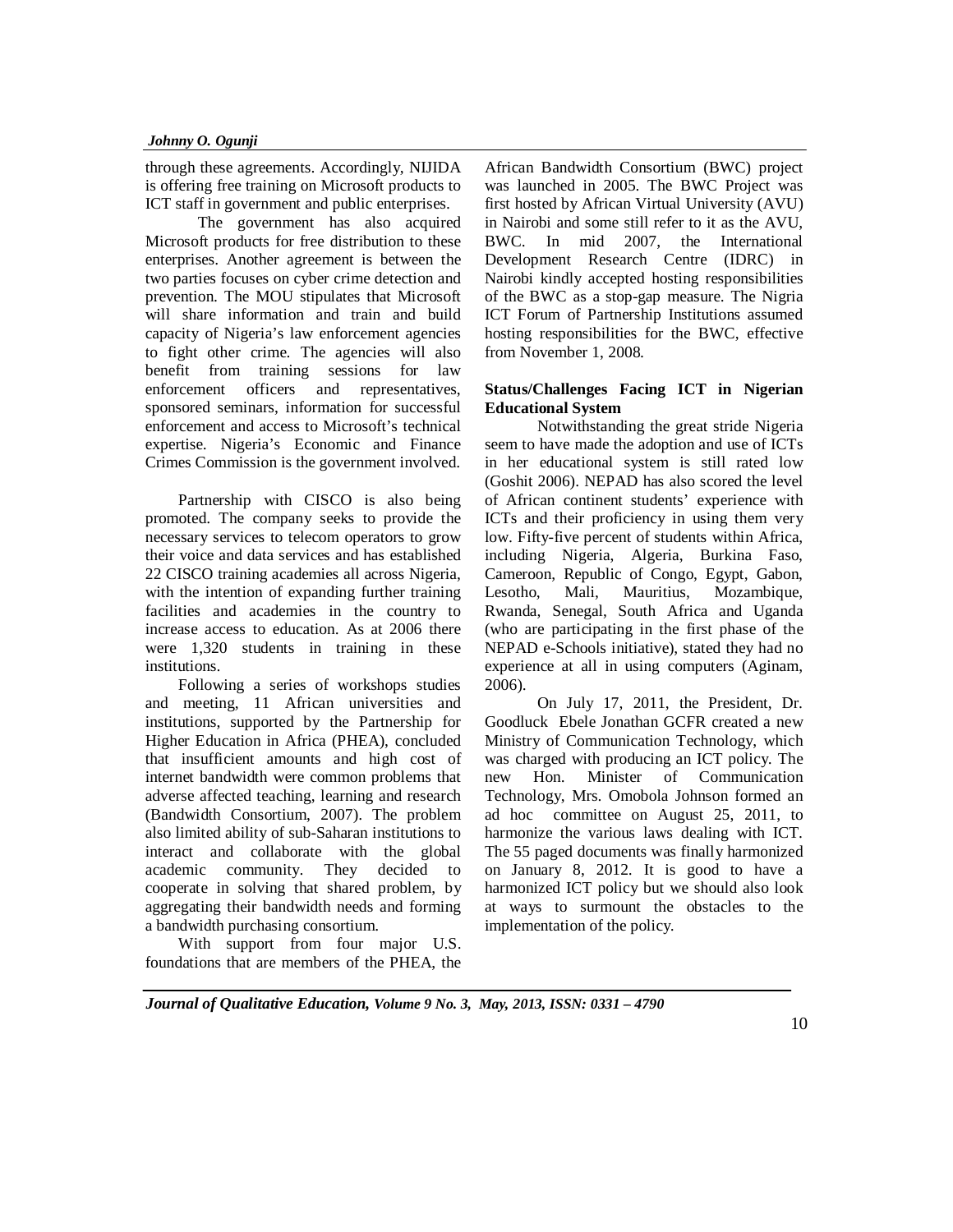through these agreements. Accordingly, NIJIDA is offering free training on Microsoft products to ICT staff in government and public enterprises.

The government has also acquired Microsoft products for free distribution to these enterprises. Another agreement is between the two parties focuses on cyber crime detection and prevention. The MOU stipulates that Microsoft will share information and train and build capacity of Nigeria's law enforcement agencies to fight other crime. The agencies will also benefit from training sessions for law enforcement officers and representatives, sponsored seminars, information for successful enforcement and access to Microsoft's technical expertise. Nigeria's Economic and Finance Crimes Commission is the government involved.

Partnership with CISCO is also being promoted. The company seeks to provide the necessary services to telecom operators to grow their voice and data services and has established 22 CISCO training academies all across Nigeria, with the intention of expanding further training facilities and academies in the country to increase access to education. As at 2006 there were 1,320 students in training in these institutions.

Following a series of workshops studies and meeting, 11 African universities and institutions, supported by the Partnership for Higher Education in Africa (PHEA), concluded that insufficient amounts and high cost of internet bandwidth were common problems that adverse affected teaching, learning and research (Bandwidth Consortium, 2007). The problem also limited ability of sub-Saharan institutions to interact and collaborate with the global academic community. They decided to cooperate in solving that shared problem, by aggregating their bandwidth needs and forming a bandwidth purchasing consortium.

With support from four major U.S. foundations that are members of the PHEA, the African Bandwidth Consortium (BWC) project was launched in 2005. The BWC Project was first hosted by African Virtual University (AVU) in Nairobi and some still refer to it as the AVU, BWC. In mid 2007, the International Development Research Centre (IDRC) in Nairobi kindly accepted hosting responsibilities of the BWC as a stop-gap measure. The Nigria ICT Forum of Partnership Institutions assumed hosting responsibilities for the BWC, effective from November 1, 2008.

# **Status/Challenges Facing ICT in Nigerian Educational System**

Notwithstanding the great stride Nigeria seem to have made the adoption and use of ICTs in her educational system is still rated low (Goshit 2006). NEPAD has also scored the level of African continent students' experience with ICTs and their proficiency in using them very low. Fifty-five percent of students within Africa, including Nigeria, Algeria, Burkina Faso, Cameroon, Republic of Congo, Egypt, Gabon, Lesotho, Mali, Mauritius, Mozambique, Rwanda, Senegal, South Africa and Uganda (who are participating in the first phase of the NEPAD e-Schools initiative), stated they had no experience at all in using computers (Aginam, 2006).

On July 17, 2011, the President, Dr. Goodluck Ebele Jonathan GCFR created a new Ministry of Communication Technology, which was charged with producing an ICT policy. The new Hon. Minister of Communication Technology, Mrs. Omobola Johnson formed an ad hoc committee on August 25, 2011, to harmonize the various laws dealing with ICT. The 55 paged documents was finally harmonized on January 8, 2012. It is good to have a harmonized ICT policy but we should also look at ways to surmount the obstacles to the implementation of the policy.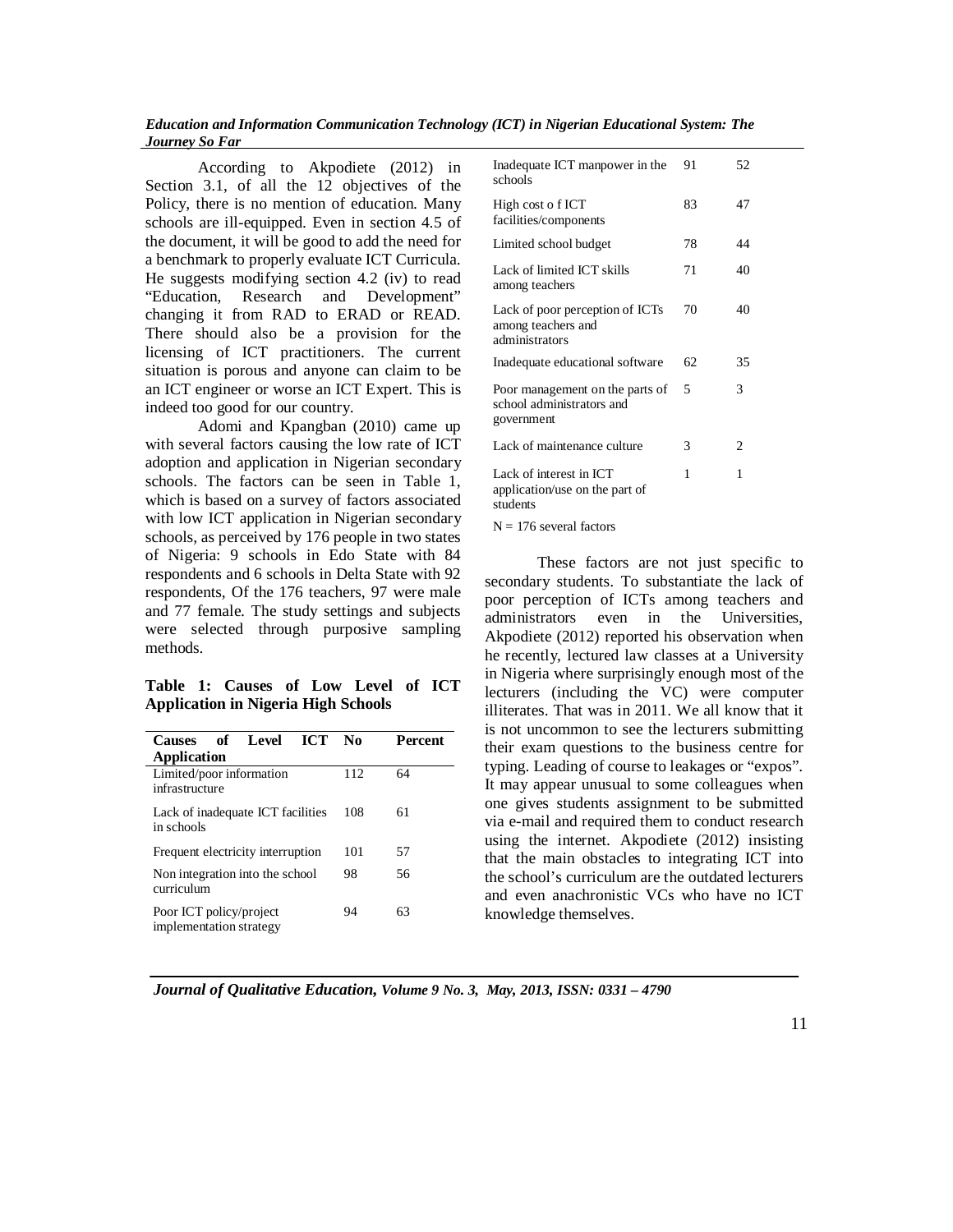According to Akpodiete (2012) in Section 3.1, of all the 12 objectives of the Policy, there is no mention of education. Many schools are ill-equipped. Even in section 4.5 of the document, it will be good to add the need for a benchmark to properly evaluate ICT Curricula. He suggests modifying section 4.2 (iv) to read "Education, Research and Development" changing it from RAD to ERAD or READ. There should also be a provision for the licensing of ICT practitioners. The current situation is porous and anyone can claim to be an ICT engineer or worse an ICT Expert. This is indeed too good for our country.

Adomi and Kpangban (2010) came up with several factors causing the low rate of ICT adoption and application in Nigerian secondary schools. The factors can be seen in Table 1, which is based on a survey of factors associated with low ICT application in Nigerian secondary schools, as perceived by 176 people in two states of Nigeria: 9 schools in Edo State with 84 respondents and 6 schools in Delta State with 92 respondents, Of the 176 teachers, 97 were male and 77 female. The study settings and subjects were selected through purposive sampling methods.

**Table 1: Causes of Low Level of ICT Application in Nigeria High Schools**

| <b>Causes</b>                                      | of Level | <b>ICT</b> | No  | Percent |  |
|----------------------------------------------------|----------|------------|-----|---------|--|
| <b>Application</b>                                 |          |            |     |         |  |
| Limited/poor information<br>infrastructure         |          |            | 112 | 64      |  |
| Lack of inadequate ICT facilities<br>in schools    |          |            | 108 | 61      |  |
| Frequent electricity interruption                  |          |            | 101 | 57      |  |
| Non integration into the school<br>curriculum      |          |            | 98  | 56      |  |
| Poor ICT policy/project<br>implementation strategy |          |            | 94  | 63      |  |

| Inadequate ICT manpower in the<br>schools                                  | 91 | 52 |
|----------------------------------------------------------------------------|----|----|
| High cost o f ICT<br>facilities/components                                 | 83 | 47 |
| Limited school budget                                                      | 78 | 44 |
| Lack of limited ICT skills<br>among teachers                               | 71 | 40 |
| Lack of poor perception of ICTs<br>among teachers and<br>administrators    | 70 | 40 |
| Inadequate educational software                                            | 62 | 35 |
| Poor management on the parts of<br>school administrators and<br>government | 5  | 3  |
| Lack of maintenance culture                                                | 3  | 2  |
| Lack of interest in ICT<br>application/use on the part of<br>students      | 1  | 1  |
| N – 176 several factors                                                    |    |    |

These factors are not just specific to secondary students. To substantiate the lack of poor perception of ICTs among teachers and administrators even in the Universities, Akpodiete (2012) reported his observation when he recently, lectured law classes at a University in Nigeria where surprisingly enough most of the lecturers (including the VC) were computer illiterates. That was in 2011. We all know that it is not uncommon to see the lecturers submitting their exam questions to the business centre for typing. Leading of course to leakages or "expos". It may appear unusual to some colleagues when one gives students assignment to be submitted via e-mail and required them to conduct research using the internet. Akpodiete (2012) insisting that the main obstacles to integrating ICT into the school's curriculum are the outdated lecturers and even anachronistic VCs who have no ICT knowledge themselves.

 *Journal of Qualitative Education, Volume 9 No. 3, May, 2013, ISSN: 0331 – 4790*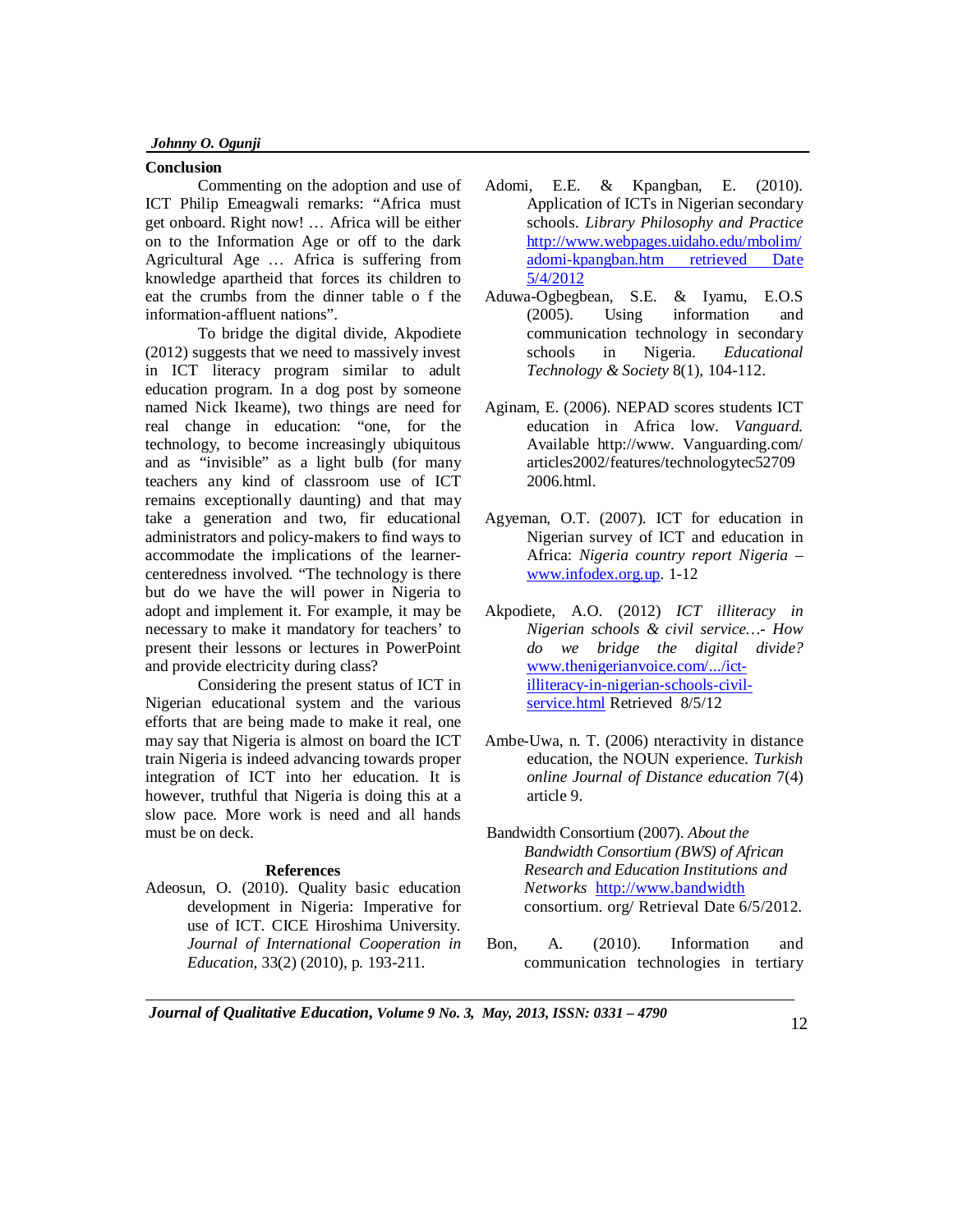#### **Conclusion**

Commenting on the adoption and use of ICT Philip Emeagwali remarks: "Africa must get onboard. Right now! … Africa will be either on to the Information Age or off to the dark Agricultural Age … Africa is suffering from knowledge apartheid that forces its children to eat the crumbs from the dinner table o f the information-affluent nations".

To bridge the digital divide, Akpodiete (2012) suggests that we need to massively invest in ICT literacy program similar to adult education program. In a dog post by someone named Nick Ikeame), two things are need for real change in education: "one, for the technology, to become increasingly ubiquitous and as "invisible" as a light bulb (for many teachers any kind of classroom use of ICT remains exceptionally daunting) and that may take a generation and two, fir educational administrators and policy-makers to find ways to accommodate the implications of the learnercenteredness involved. "The technology is there but do we have the will power in Nigeria to adopt and implement it. For example, it may be necessary to make it mandatory for teachers' to present their lessons or lectures in PowerPoint and provide electricity during class?

Considering the present status of ICT in Nigerian educational system and the various efforts that are being made to make it real, one may say that Nigeria is almost on board the ICT train Nigeria is indeed advancing towards proper integration of ICT into her education. It is however, truthful that Nigeria is doing this at a slow pace. More work is need and all hands must be on deck.

#### **References**

Adeosun, O. (2010). Quality basic education development in Nigeria: Imperative for use of ICT. CICE Hiroshima University. *Journal of International Cooperation in Education*, 33(2) (2010), p. 193-211.

- Adomi, E.E. & Kpangban, E. (2010). Application of ICTs in Nigerian secondary schools. *Library Philosophy and Practice* http://www.webpages.uidaho.edu/mbolim/ adomi-kpangban.htm retrieved Date 5/4/2012
- Aduwa-Ogbegbean, S.E. & Iyamu, E.O.S (2005). Using information and communication technology in secondary schools in Nigeria. *Educational Technology & Society* 8(1), 104-112.
- Aginam, E. (2006). NEPAD scores students ICT education in Africa low. *Vanguard.*  Available http://www. Vanguarding.com/ articles2002/features/technologytec52709 2006.html.
- Agyeman, O.T. (2007). ICT for education in Nigerian survey of ICT and education in Africa: *Nigeria country report Nigeria* – www.infodex.org.up. 1-12
- Akpodiete, A.O. (2012) *ICT illiteracy in Nigerian schools & civil service…- How do we bridge the digital divide?* www.thenigerianvoice.com/.../ictilliteracy-in-nigerian-schools-civilservice.html Retrieved 8/5/12
- Ambe-Uwa, n. T. (2006) nteractivity in distance education, the NOUN experience. *Turkish online Journal of Distance education* 7(4) article 9.
- Bandwidth Consortium (2007). *About the Bandwidth Consortium (BWS) of African Research and Education Institutions and Networks* http://www.bandwidth consortium. org/ Retrieval Date 6/5/2012.
- Bon, A. (2010). Information and communication technologies in tertiary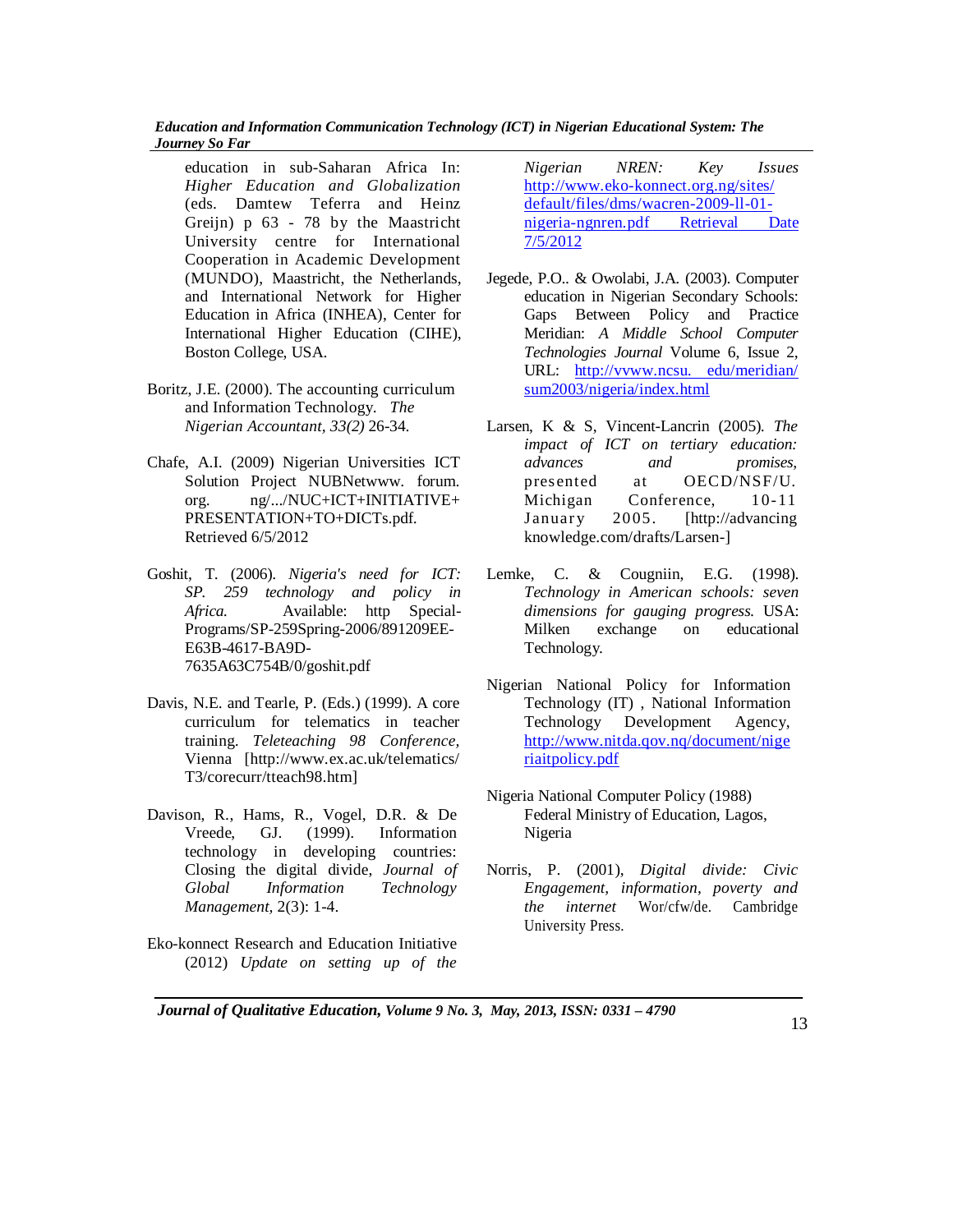education in sub-Saharan Africa In: *Higher Education and Globalization*  (eds. Damtew Teferra and Heinz Greijn) p 63 - 78 by the Maastricht University centre for International Cooperation in Academic Development (MUNDO), Maastricht, the Netherlands, and International Network for Higher Education in Africa (INHEA), Center for International Higher Education (CIHE), Boston College, USA.

- Boritz, J.E. (2000). The accounting curriculum and Information Technology. *The Nigerian Accountant, 33(2)* 26-34.
- Chafe, A.I. (2009) Nigerian Universities ICT Solution Project NUBNetwww. forum. org. ng/.../NUC+ICT+INITIATIVE+ PRESENTATION+TO+DICTs.pdf. Retrieved 6/5/2012
- Goshit, T. (2006). *Nigeria's need for ICT: SP. 259 technology and policy in Africa.* Available: http Special-Programs/SP-259Spring-2006/891209EE-E63B-4617-BA9D-7635A63C754B/0/goshit.pdf
- Davis, N.E. and Tearle, P. (Eds.) (1999). A core curriculum for telematics in teacher training. *Teleteaching 98 Conference,*  Vienna [http://www.ex.ac.uk/telematics/ T3/corecurr/tteach98.htm]
- Davison, R., Hams, R., Vogel, D.R. & De Vreede, GJ. (1999). Information technology in developing countries: Closing the digital divide, *Journal of Global Information Technology Management,* 2(3): 1-4.
- Eko-konnect Research and Education Initiative (2012) *Update on setting up of the*

*Nigerian NREN: Key Issues* http://www.eko-konnect.org.ng/sites/ default/files/dms/wacren-2009-ll-01 nigeria-ngnren.pdf Retrieval Date 7/5/2012

- Jegede, P.O.. & Owolabi, J.A. (2003). Computer education in Nigerian Secondary Schools: Gaps Between Policy and Practice Meridian: *A Middle School Computer Technologies Journal* Volume 6, Issue 2, URL: http://vvww.ncsu. edu/meridian/ sum2003/nigeria/index.html
- Larsen, K & S, Vincent-Lancrin (2005). *The impact of ICT on tertiary education: advances and promises,* presented at OECD/NSF/U. Michigan Conference, 10-11 January 2005. [http://advancing knowledge.com/drafts/Larsen-]
- Lemke, C. & Cougniin, E.G. (1998). *Technology in American schools: seven dimensions for gauging progress.* USA: Milken exchange on educational Technology.
- Nigerian National Policy for Information Technology (IT) , National Information Technology Development Agency, http://www.nitda.qov.nq/document/nige riaitpolicy.pdf
- Nigeria National Computer Policy (1988) Federal Ministry of Education, Lagos, Nigeria
- Norris, P. (2001), *Digital divide: Civic Engagement, information, poverty and the internet* Wor/cfw/de. Cambridge University Press.